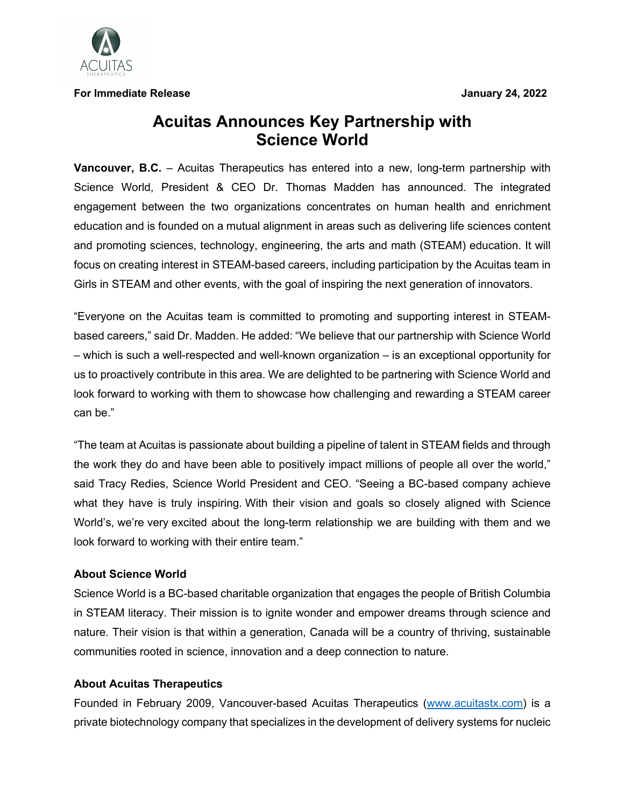

**For Immediate Release January 24, 2022**

## **Acuitas Announces Key Partnership with Science World**

**Vancouver, B.C.** – Acuitas Therapeutics has entered into a new, long-term partnership with Science World, President & CEO Dr. Thomas Madden has announced. The integrated engagement between the two organizations concentrates on human health and enrichment education and is founded on a mutual alignment in areas such as delivering life sciences content and promoting sciences, technology, engineering, the arts and math (STEAM) education. It will focus on creating interest in STEAM-based careers, including participation by the Acuitas team in Girls in STEAM and other events, with the goal of inspiring the next generation of innovators.

"Everyone on the Acuitas team is committed to promoting and supporting interest in STEAMbased careers," said Dr. Madden. He added: "We believe that our partnership with Science World – which is such a well-respected and well-known organization – is an exceptional opportunity for us to proactively contribute in this area. We are delighted to be partnering with Science World and look forward to working with them to showcase how challenging and rewarding a STEAM career can be."

"The team at Acuitas is passionate about building a pipeline of talent in STEAM fields and through the work they do and have been able to positively impact millions of people all over the world," said Tracy Redies, Science World President and CEO. "Seeing a BC-based company achieve what they have is truly inspiring. With their vision and goals so closely aligned with Science World's, we're very excited about the long-term relationship we are building with them and we look forward to working with their entire team."

## **About Science World**

Science World is a BC-based charitable organization that engages the people of British Columbia in STEAM literacy. Their mission is to ignite wonder and empower dreams through science and nature. Their vision is that within a generation, Canada will be a country of thriving, sustainable communities rooted in science, innovation and a deep connection to nature.

## **About Acuitas Therapeutics**

Founded in February 2009, Vancouver-based Acuitas Therapeutics (www.acuitastx.com) is a private biotechnology company that specializes in the development of delivery systems for nucleic